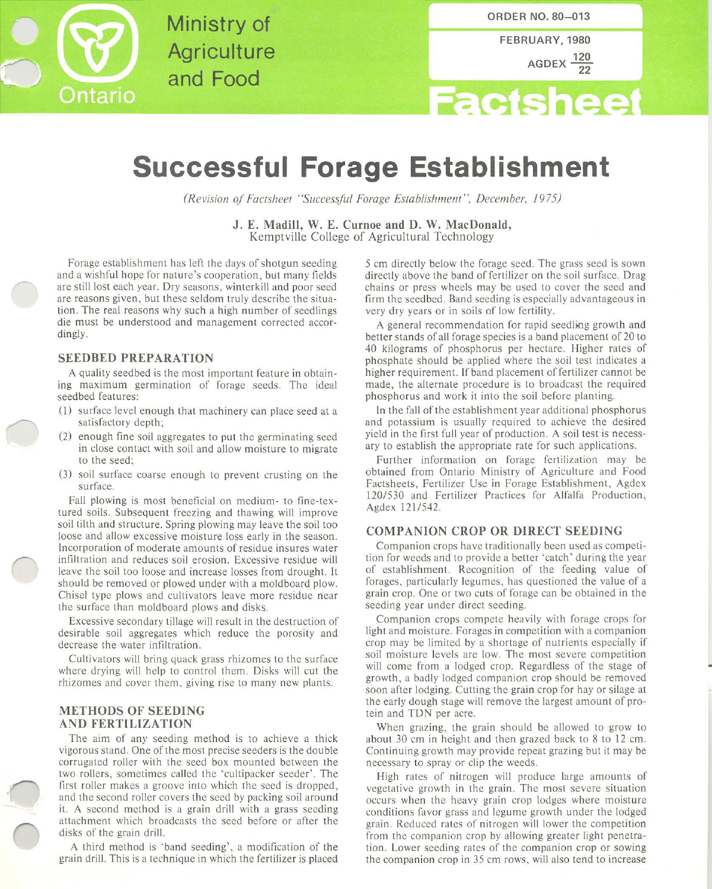

Ministry of **Agriculture** and Food

FEBRUARY, 1980 AGDEX  $\frac{120}{100}$ 

# **Factsh** eel

# **Successful Forage Establishment**

*(Revision of Factsheet "Successful Forage Establishment", December, 1975)* 

J. E. Madill, W. E. Curnoe and D. W. MacDonald, Kemptville College of Agricultural Technology

Forage establishment has left the days of shotgun seeding and a wishful hope for nature's cooperation, but many fields are still lost each year. Dry seasons, winterkill and poor seed are reasons given, but these seldom truly describe the situation. The real reasons why such a high number of seedlings die must be understood and management corrected accordingly.

#### SEEDBED PREPARATION

A quality seedbed is the most important feature in obtaining maximum germination of forage seeds. The ideal seedbed features:

- (1) surface level enough that machinery can place seed at a satisfactory depth;
- (2) enough fine soil aggregates to put the germinating seed in close contact with soil and allow moisture to migrate to the seed;
- (3) soil surface coarse enough to prevent crusting on the surface.

Fall plowing is most beneficial on medium- to fine-textured soils. Subsequent freezing and thawing will improve soil tilth and structure. Spring plowing may leave the soil too loose and allow excessive moisture loss early in the season. Incorporation of moderate amounts of residue insures water infiltration and reduces soil erosion. Excessive residue will leave the soil too loose and increase losses from drought. It should be removed or plowed under with a moldboard plow. Chisel type plows and cultivators leave more residue near the surface than moldboard plows and disks,.

Excessive secondary tillage will result in the destruction of desirable soil aggregates which reduce the porosity and decrease the water infiltration.

Cultivators will bring quack grass rhizomes to the surface where drying will help to control them. Disks will cut the rhizomes and cover them, giving rise to many new plants.

# METHODS OF SEEDING AND FERTILIZATION

The aim of any seeding method is to achieve a thick vigorous stand. One of the most precise seeders is the double corrugated roller with the seed box mounted between the two rollers, sometimes called the 'cultipacker seeder'. The first roller makes a groove into which the seed is dropped, and the second roller covers the seed by packing soil around it. A second method is a grain drill with a grass seeding attachment which broadcasts the seed before or after the disks of the grain drill.

A third method is 'band seeding', a modification of the grain drill. This is a technique in which the fertilizer is placed

5 cm directly below the forage seed. The grass seed is sown directly above the band of fertilizer on the soil surface. Drag chains or press wheels may be used to cover the seed and firm the seedbed. Band seeding is especially advantageous in very dry years or in soils of low fertility.

A general recommendation for rapid seedling growth and better stands of all forage species is a band placement of 20 to 40 kilograms of phosphorus per hectare. Higher rates of phosphate should be applied where the soil test indicates a higher requirement. If band placement of fertilizer cannot be made, the alternate procedure is to broadcast the required phosphorus and work it into the soil before planting.

In the fall of the establishment year additional phosphorus and potassium is usually required to achieve the desired yield in the first full year of production. A soil test is necessary to establish the appropriate rate for such applications.

Further information on forage fertilization may be obtained from Ontario Ministry of Agriculture and Food Factsheets, Fertilizer Use in Forage Establishment, Agdex 120/530 and Fertilizer Practices for Alfalfa Production, Agdex 121/542.

## COMPANION CROP OR DIRECT SEEDING

Companion crops have traditionally been used as competition for weeds and to provide a better 'catch' during the year of establishment. Recognition of the feeding value of forages, particularly legumes, has questioned the value of a grain crop. One or two cuts of forage can be obtained in the seeding year under direct seeding.

Companion crops compete heavily with forage crops for light and moisture. Forages in competition with a companion crop may be limited by a shortage of nutrients especially if soil moisture levels are low. The most severe competition will come from a lodged crop. Regardless of the stage of growth, a badly lodged companion crop should be removed soon after lodging. Cutting the grain crop for hay or silage at the early dough stage will remove the largest amount of protein and TDN per acre.

When grazing, the grain should be allowed to grow to about 30 cm in height and then grazed back to 8 to 12 em. Continuing growth may provide repeat grazing but it may be necessary to spray or clip the weeds.

High rates of nitrogen will produce large amounts of vegetative growth in the grain. The most severe situation occurs when the heavy grain crop lodges where moisture conditions favor grass and legume growth under the lodged grain. Reduced rates of nitrogen will lower the competition from the companion crop by allowing greater light penetration. Lower seeding rates of the companion crop or sowing the companion crop in 35 cm rows, will also tend to increase